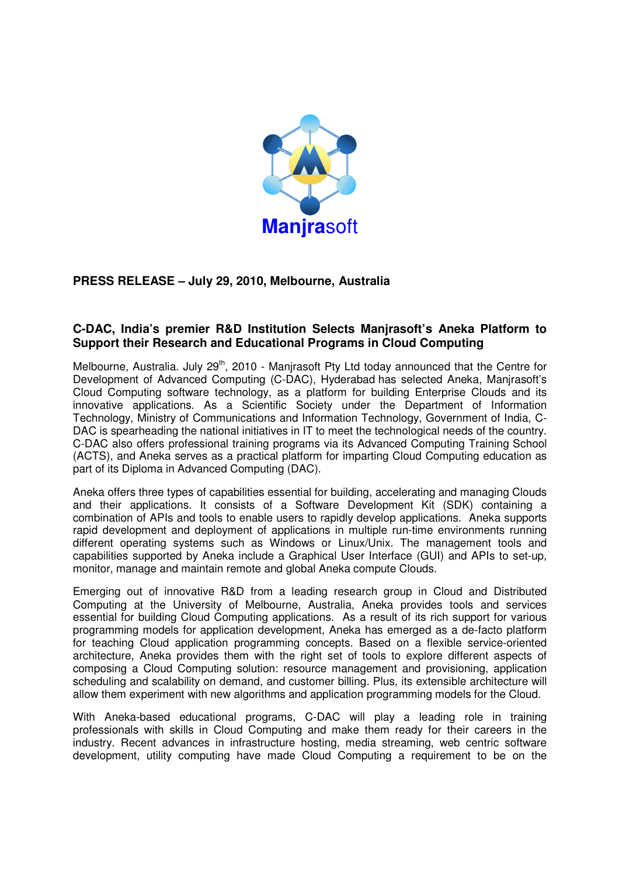

## **PRESS RELEASE – July 29, 2010, Melbourne, Australia**

## **C-DAC, India's premier R&D Institution Selects Manjrasoft's Aneka Platform to Support their Research and Educational Programs in Cloud Computing**

Melbourne, Australia. July 29<sup>th</sup>, 2010 - Manjrasoft Pty Ltd today announced that the Centre for Development of Advanced Computing (C-DAC), Hyderabad has selected Aneka, Manjrasoft's Cloud Computing software technology, as a platform for building Enterprise Clouds and its innovative applications. As a Scientific Society under the Department of Information Technology, Ministry of Communications and Information Technology, Government of India, C-DAC is spearheading the national initiatives in IT to meet the technological needs of the country. C-DAC also offers professional training programs via its Advanced Computing Training School (ACTS), and Aneka serves as a practical platform for imparting Cloud Computing education as part of its Diploma in Advanced Computing (DAC).

Aneka offers three types of capabilities essential for building, accelerating and managing Clouds and their applications. It consists of a Software Development Kit (SDK) containing a combination of APIs and tools to enable users to rapidly develop applications. Aneka supports rapid development and deployment of applications in multiple run-time environments running different operating systems such as Windows or Linux/Unix. The management tools and capabilities supported by Aneka include a Graphical User Interface (GUI) and APIs to set-up, monitor, manage and maintain remote and global Aneka compute Clouds.

Emerging out of innovative R&D from a leading research group in Cloud and Distributed Computing at the University of Melbourne, Australia, Aneka provides tools and services essential for building Cloud Computing applications. As a result of its rich support for various programming models for application development, Aneka has emerged as a de-facto platform for teaching Cloud application programming concepts. Based on a flexible service-oriented architecture, Aneka provides them with the right set of tools to explore different aspects of composing a Cloud Computing solution: resource management and provisioning, application scheduling and scalability on demand, and customer billing. Plus, its extensible architecture will allow them experiment with new algorithms and application programming models for the Cloud.

With Aneka-based educational programs, C-DAC will play a leading role in training professionals with skills in Cloud Computing and make them ready for their careers in the industry. Recent advances in infrastructure hosting, media streaming, web centric software development, utility computing have made Cloud Computing a requirement to be on the